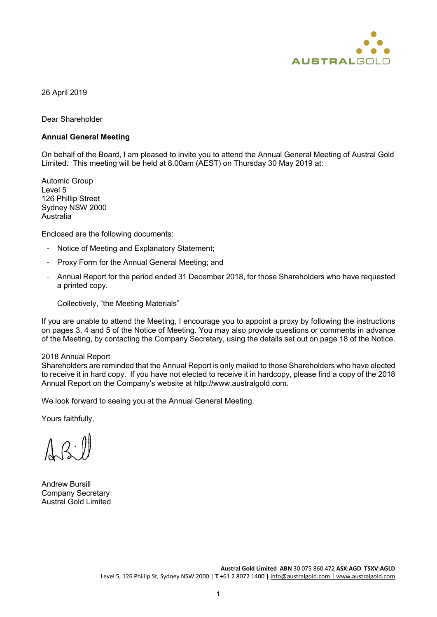

26 April 2019

Dear Shareholder

#### **Annual General Meeting**

On behalf of the Board, I am pleased to invite you to attend the Annual General Meeting of Austral Gold Limited. This meeting will be held at 8.00am (AEST) on Thursday 30 May 2019 at:

Automic Group Level 5 126 Phillip Street Sydney NSW 2000 Australia

Enclosed are the following documents:

- Notice of Meeting and Explanatory Statement;
- Proxy Form for the Annual General Meeting; and
- Annual Report for the period ended 31 December 2018, for those Shareholders who have requested a printed copy.

Collectively, "the Meeting Materials"

If you are unable to attend the Meeting, I encourage you to appoint a proxy by following the instructions on pages 3, 4 and 5 of the Notice of Meeting. You may also provide questions or comments in advance of the Meeting, by contacting the Company Secretary, using the details set out on page 18 of the Notice.

#### 2018 Annual Report

Shareholders are reminded that the Annual Report is only mailed to those Shareholders who have elected to receive it in hard copy. If you have not elected to receive it in hardcopy, please find a copy of the 2018 Annual Report on the Company's website at http://www.australgold.com.

We look forward to seeing you at the Annual General Meeting.

Yours faithfully,

Andrew Bursill Company Secretary Austral Gold Limited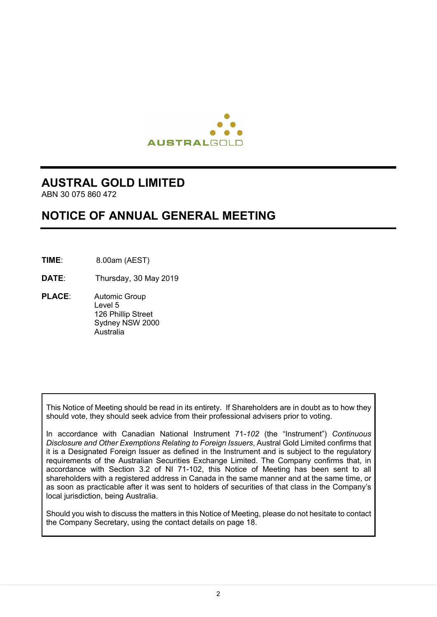

# **AUSTRAL GOLD LIMITED**

ABN 30 075 860 472

# **NOTICE OF ANNUAL GENERAL MEETING**

- **TIME**: 8.00am (AEST)
- **DATE**: Thursday, 30 May 2019
- **PLACE**: Automic Group Level 5 126 Phillip Street Sydney NSW 2000 Australia

This Notice of Meeting should be read in its entirety. If Shareholders are in doubt as to how they should vote, they should seek advice from their professional advisers prior to voting.

In accordance with Canadian National Instrument 71-*102* (the "Instrument") *Continuous Disclosure and Other Exemptions Relating to Foreign Issuers*, Austral Gold Limited confirms that it is a Designated Foreign Issuer as defined in the Instrument and is subject to the regulatory requirements of the Australian Securities Exchange Limited. The Company confirms that, in accordance with Section 3.2 of NI 71-102, this Notice of Meeting has been sent to all shareholders with a registered address in Canada in the same manner and at the same time, or as soon as practicable after it was sent to holders of securities of that class in the Company's local jurisdiction, being Australia.

Should you wish to discuss the matters in this Notice of Meeting, please do not hesitate to contact the Company Secretary, using the contact details on page 18.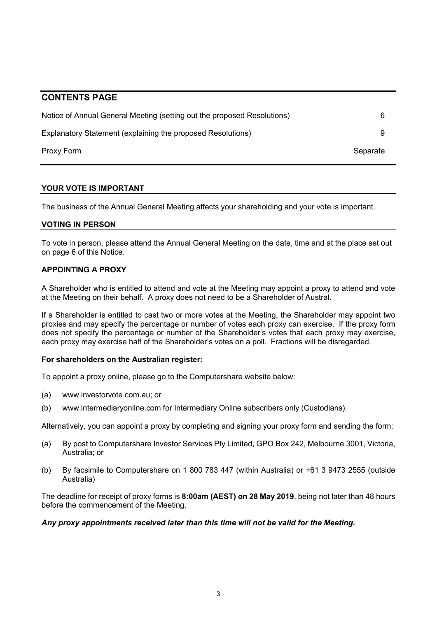# **CONTENTS PAGE**

| Notice of Annual General Meeting (setting out the proposed Resolutions) |          |
|-------------------------------------------------------------------------|----------|
| Explanatory Statement (explaining the proposed Resolutions)             |          |
| Proxy Form                                                              | Separate |

#### **YOUR VOTE IS IMPORTANT**

The business of the Annual General Meeting affects your shareholding and your vote is important.

# **VOTING IN PERSON**

To vote in person, please attend the Annual General Meeting on the date, time and at the place set out on page 6 of this Notice.

# **APPOINTING A PROXY**

A Shareholder who is entitled to attend and vote at the Meeting may appoint a proxy to attend and vote at the Meeting on their behalf. A proxy does not need to be a Shareholder of Austral.

If a Shareholder is entitled to cast two or more votes at the Meeting, the Shareholder may appoint two proxies and may specify the percentage or number of votes each proxy can exercise. If the proxy form does not specify the percentage or number of the Shareholder's votes that each proxy may exercise, each proxy may exercise half of the Shareholder's votes on a poll. Fractions will be disregarded.

#### **For shareholders on the Australian register:**

To appoint a proxy online, please go to [the](http://www.linkmarketservices.com.au/) Computershare website below:

- (a) [www.investorvote.com.au;](http://www.investorvote.com.au/) or
- (b) [www.intermediaryonline.com](http://www.intermediaryonline.com/) for Intermediary Online subscribers only (Custodians).

Alternatively, you can appoint a proxy by completing and signing your proxy form and sending the form:

- (a) By post to Computershare Investor Services Pty Limited, GPO Box 242, Melbourne 3001, Victoria, Australia; or
- (b) By facsimile to Computershare on 1 800 783 447 (within Australia) or +61 3 9473 2555 (outside Australia)

The deadline for receipt of proxy forms is **8:00am (AEST) on 28 May 2019**, being not later than 48 hours before the commencement of the Meeting.

#### *Any proxy appointments received later than this time will not be valid for the Meeting.*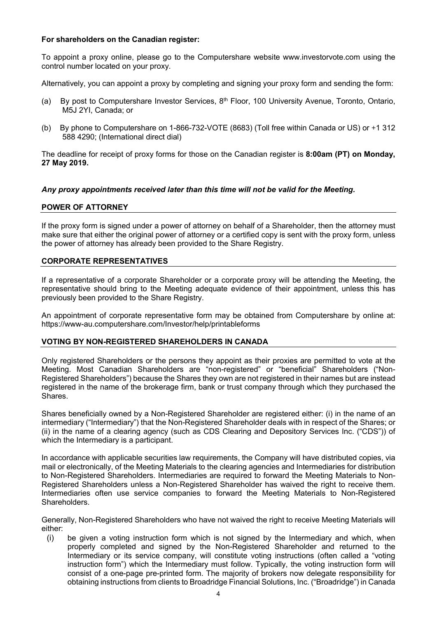#### **For shareholders on the Canadian register:**

To appoint a proxy online, please go to [the](http://www.linkmarketservices.com.au/) Computershare website [www.investorvote.com](http://www.investorvote.com/) using the control number located on your proxy.

Alternatively, you can appoint a proxy by completing and signing your proxy form and sending the form:

- (a) By post to Computershare Investor Services, 8th Floor, 100 University Avenue, Toronto, Ontario, M5J 2YI, Canada; or
- (b) By phone to Computershare on 1-866-732-VOTE (8683) (Toll free within Canada or US) or +1 312 588 4290; (International direct dial)

The deadline for receipt of proxy forms for those on the Canadian register is **8:00am (PT) on Monday, 27 May 2019.**

#### *Any proxy appointments received later than this time will not be valid for the Meeting.*

# **POWER OF ATTORNEY**

If the proxy form is signed under a power of attorney on behalf of a Shareholder, then the attorney must make sure that either the original power of attorney or a certified copy is sent with the proxy form, unless the power of attorney has already been provided to the Share Registry.

#### **CORPORATE REPRESENTATIVES**

If a representative of a corporate Shareholder or a corporate proxy will be attending the Meeting, the representative should bring to the Meeting adequate evidence of their appointment, unless this has previously been provided to the Share Registry.

An appointment of corporate representative form may be obtained from Computershare by online at: https://www-au.computershare.com/Investor/help/printableforms

#### **VOTING BY NON-REGISTERED SHAREHOLDERS IN CANADA**

Only registered Shareholders or the persons they appoint as their proxies are permitted to vote at the Meeting. Most Canadian Shareholders are "non-registered" or "beneficial" Shareholders ("Non-Registered Shareholders") because the Shares they own are not registered in their names but are instead registered in the name of the brokerage firm, bank or trust company through which they purchased the Shares.

Shares beneficially owned by a Non-Registered Shareholder are registered either: (i) in the name of an intermediary ("Intermediary") that the Non-Registered Shareholder deals with in respect of the Shares; or (ii) in the name of a clearing agency (such as CDS Clearing and Depository Services Inc. ("CDS")) of which the Intermediary is a participant.

In accordance with applicable securities law requirements, the Company will have distributed copies, via mail or electronically, of the Meeting Materials to the clearing agencies and Intermediaries for distribution to Non-Registered Shareholders. Intermediaries are required to forward the Meeting Materials to Non-Registered Shareholders unless a Non-Registered Shareholder has waived the right to receive them. Intermediaries often use service companies to forward the Meeting Materials to Non-Registered **Shareholders** 

Generally, Non-Registered Shareholders who have not waived the right to receive Meeting Materials will either:

(i) be given a voting instruction form which is not signed by the Intermediary and which, when properly completed and signed by the Non-Registered Shareholder and returned to the Intermediary or its service company, will constitute voting instructions (often called a "voting instruction form") which the Intermediary must follow. Typically, the voting instruction form will consist of a one-page pre-printed form. The majority of brokers now delegate responsibility for obtaining instructions from clients to Broadridge Financial Solutions, Inc. ("Broadridge") in Canada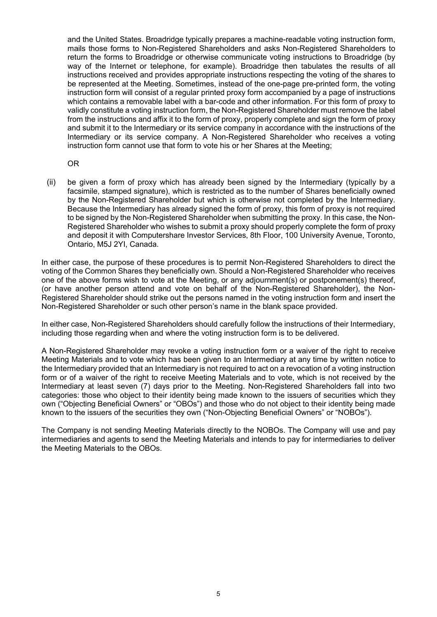and the United States. Broadridge typically prepares a machine-readable voting instruction form, mails those forms to Non-Registered Shareholders and asks Non-Registered Shareholders to return the forms to Broadridge or otherwise communicate voting instructions to Broadridge (by way of the Internet or telephone, for example). Broadridge then tabulates the results of all instructions received and provides appropriate instructions respecting the voting of the shares to be represented at the Meeting. Sometimes, instead of the one-page pre-printed form, the voting instruction form will consist of a regular printed proxy form accompanied by a page of instructions which contains a removable label with a bar-code and other information. For this form of proxy to validly constitute a voting instruction form, the Non-Registered Shareholder must remove the label from the instructions and affix it to the form of proxy, properly complete and sign the form of proxy and submit it to the Intermediary or its service company in accordance with the instructions of the Intermediary or its service company. A Non-Registered Shareholder who receives a voting instruction form cannot use that form to vote his or her Shares at the Meeting;

#### OR

(ii) be given a form of proxy which has already been signed by the Intermediary (typically by a facsimile, stamped signature), which is restricted as to the number of Shares beneficially owned by the Non-Registered Shareholder but which is otherwise not completed by the Intermediary. Because the Intermediary has already signed the form of proxy, this form of proxy is not required to be signed by the Non-Registered Shareholder when submitting the proxy. In this case, the Non-Registered Shareholder who wishes to submit a proxy should properly complete the form of proxy and deposit it with Computershare Investor Services, 8th Floor, 100 University Avenue, Toronto, Ontario, M5J 2YI, Canada.

In either case, the purpose of these procedures is to permit Non-Registered Shareholders to direct the voting of the Common Shares they beneficially own. Should a Non-Registered Shareholder who receives one of the above forms wish to vote at the Meeting, or any adjournment(s) or postponement(s) thereof, (or have another person attend and vote on behalf of the Non-Registered Shareholder), the Non-Registered Shareholder should strike out the persons named in the voting instruction form and insert the Non-Registered Shareholder or such other person's name in the blank space provided.

In either case, Non-Registered Shareholders should carefully follow the instructions of their Intermediary, including those regarding when and where the voting instruction form is to be delivered.

A Non-Registered Shareholder may revoke a voting instruction form or a waiver of the right to receive Meeting Materials and to vote which has been given to an Intermediary at any time by written notice to the Intermediary provided that an Intermediary is not required to act on a revocation of a voting instruction form or of a waiver of the right to receive Meeting Materials and to vote, which is not received by the Intermediary at least seven (7) days prior to the Meeting. Non-Registered Shareholders fall into two categories: those who object to their identity being made known to the issuers of securities which they own ("Objecting Beneficial Owners" or "OBOs") and those who do not object to their identity being made known to the issuers of the securities they own ("Non-Objecting Beneficial Owners" or "NOBOs").

The Company is not sending Meeting Materials directly to the NOBOs. The Company will use and pay intermediaries and agents to send the Meeting Materials and intends to pay for intermediaries to deliver the Meeting Materials to the OBOs.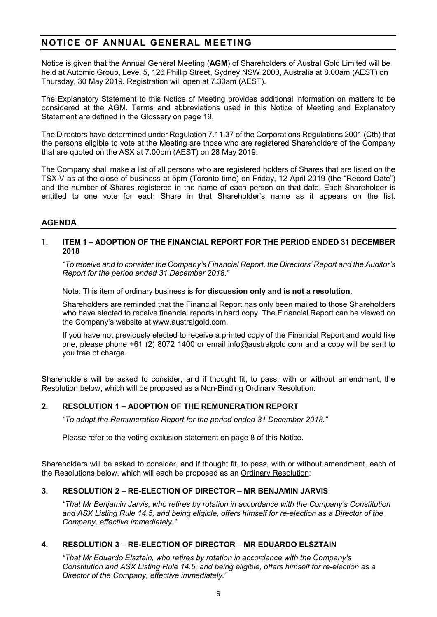# **NOTICE OF ANNUAL GENERAL MEETING**

Notice is given that the Annual General Meeting (**AGM**) of Shareholders of Austral Gold Limited will be held at Automic Group, Level 5, 126 Phillip Street, Sydney NSW 2000, Australia at 8.00am (AEST) on Thursday, 30 May 2019. Registration will open at 7.30am (AEST).

The Explanatory Statement to this Notice of Meeting provides additional information on matters to be considered at the AGM. Terms and abbreviations used in this Notice of Meeting and Explanatory Statement are defined in the Glossary on page 19.

The Directors have determined under Regulation 7.11.37 of the Corporations Regulations 2001 (Cth) that the persons eligible to vote at the Meeting are those who are registered Shareholders of the Company that are quoted on the ASX at 7.00pm (AEST) on 28 May 2019.

The Company shall make a list of all persons who are registered holders of Shares that are listed on the TSX-V as at the close of business at 5pm (Toronto time) on Friday, 12 April 2019 (the "Record Date") and the number of Shares registered in the name of each person on that date. Each Shareholder is entitled to one vote for each Share in that Shareholder's name as it appears on the list.

# **AGENDA**

#### **1. ITEM 1 – ADOPTION OF THE FINANCIAL REPORT FOR THE PERIOD ENDED 31 DECEMBER 2018**

*"To receive and to consider the Company's Financial Report, the Directors' Report and the Auditor's Report for the period ended 31 December 2018."*

Note: This item of ordinary business is **for discussion only and is not a resolution**.

Shareholders are reminded that the Financial Report has only been mailed to those Shareholders who have elected to receive financial reports in hard copy. The Financial Report can be viewed on the Company's website at www.australgold.com.

If you have not previously elected to receive a printed copy of the Financial Report and would like one, please phone +61 (2) 8072 1400 or email [info@australgold.com](mailto:info@australgold.com.au) and a copy will be sent to you free of charge.

Shareholders will be asked to consider, and if thought fit, to pass, with or without amendment, the Resolution below, which will be proposed as a Non-Binding Ordinary Resolution:

#### **2. RESOLUTION 1 – ADOPTION OF THE REMUNERATION REPORT**

*"To adopt the Remuneration Report for the period ended 31 December 2018."*

Please refer to the voting exclusion statement on page 8 of this Notice.

Shareholders will be asked to consider, and if thought fit, to pass, with or without amendment, each of the Resolutions below, which will each be proposed as an Ordinary Resolution:

#### **3. RESOLUTION 2 – RE-ELECTION OF DIRECTOR – MR BENJAMIN JARVIS**

*"That Mr Benjamin Jarvis, who retires by rotation in accordance with the Company's Constitution and ASX Listing Rule 14.5, and being eligible, offers himself for re-election as a Director of the Company, effective immediately."*

#### **4. RESOLUTION 3 – RE-ELECTION OF DIRECTOR – MR EDUARDO ELSZTAIN**

*"That Mr Eduardo Elsztain, who retires by rotation in accordance with the Company's Constitution and ASX Listing Rule 14.5, and being eligible, offers himself for re-election as a Director of the Company, effective immediately."*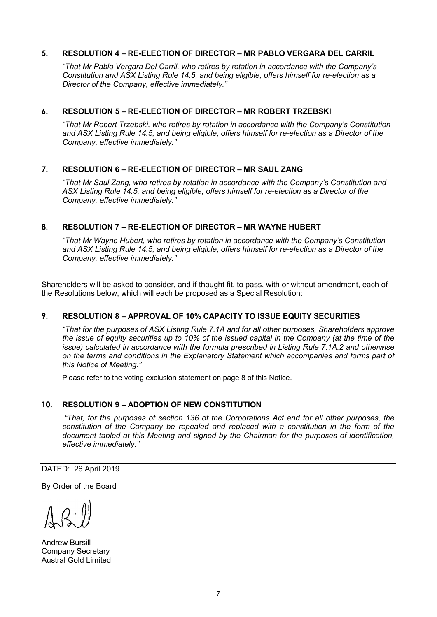# **5. RESOLUTION 4 – RE-ELECTION OF DIRECTOR – MR PABLO VERGARA DEL CARRIL**

*"That Mr Pablo Vergara Del Carril, who retires by rotation in accordance with the Company's Constitution and ASX Listing Rule 14.5, and being eligible, offers himself for re-election as a Director of the Company, effective immediately."*

# **6. RESOLUTION 5 – RE-ELECTION OF DIRECTOR – MR ROBERT TRZEBSKI**

*"That Mr Robert Trzebski, who retires by rotation in accordance with the Company's Constitution and ASX Listing Rule 14.5, and being eligible, offers himself for re-election as a Director of the Company, effective immediately."*

# **7. RESOLUTION 6 – RE-ELECTION OF DIRECTOR – MR SAUL ZANG**

*"That Mr Saul Zang, who retires by rotation in accordance with the Company's Constitution and ASX Listing Rule 14.5, and being eligible, offers himself for re-election as a Director of the Company, effective immediately."*

# **8. RESOLUTION 7 – RE-ELECTION OF DIRECTOR – MR WAYNE HUBERT**

*"That Mr Wayne Hubert, who retires by rotation in accordance with the Company's Constitution and ASX Listing Rule 14.5, and being eligible, offers himself for re-election as a Director of the Company, effective immediately."*

Shareholders will be asked to consider, and if thought fit, to pass, with or without amendment, each of the Resolutions below, which will each be proposed as a Special Resolution:

# **9. RESOLUTION 8 – APPROVAL OF 10% CAPACITY TO ISSUE EQUITY SECURITIES**

*"That for the purposes of ASX Listing Rule 7.1A and for all other purposes, Shareholders approve the issue of equity securities up to 10% of the issued capital in the Company (at the time of the issue)* calculated in accordance with the formula prescribed in Listing Rule 7.1A.2 and otherwise *on the terms and conditions in the Explanatory Statement which accompanies and forms part of this Notice of Meeting."*

Please refer to the voting exclusion statement on page 8 of this Notice.

#### **10. RESOLUTION 9 – ADOPTION OF NEW CONSTITUTION**

*"That, for the purposes of section 136 of the Corporations Act and for all other purposes, the constitution of the Company be repealed and replaced with a constitution in the form of the document tabled at this Meeting and signed by the Chairman for the purposes of identification, effective immediately."* 

DATED: 26 April 2019

By Order of the Board

Andrew Bursill Company Secretary Austral Gold Limited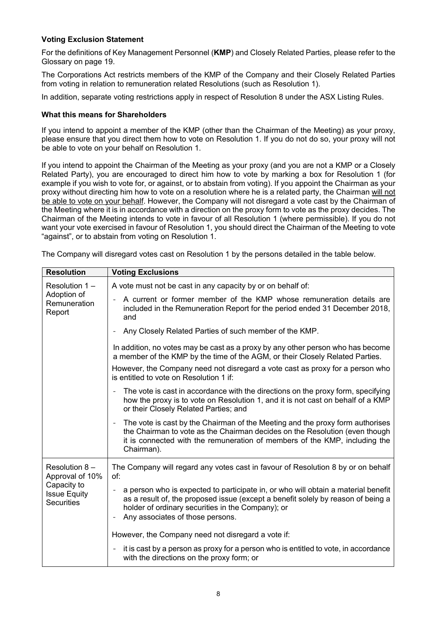# **Voting Exclusion Statement**

For the definitions of Key Management Personnel (**KMP**) and Closely Related Parties, please refer to the Glossary on page 19.

The Corporations Act restricts members of the KMP of the Company and their Closely Related Parties from voting in relation to remuneration related Resolutions (such as Resolution 1).

In addition, separate voting restrictions apply in respect of Resolution 8 under the ASX Listing Rules.

#### **What this means for Shareholders**

If you intend to appoint a member of the KMP (other than the Chairman of the Meeting) as your proxy, please ensure that you direct them how to vote on Resolution 1. If you do not do so, your proxy will not be able to vote on your behalf on Resolution 1.

If you intend to appoint the Chairman of the Meeting as your proxy (and you are not a KMP or a Closely Related Party), you are encouraged to direct him how to vote by marking a box for Resolution 1 (for example if you wish to vote for, or against, or to abstain from voting). If you appoint the Chairman as your proxy without directing him how to vote on a resolution where he is a related party, the Chairman will not be able to vote on your behalf. However, the Company will not disregard a vote cast by the Chairman of the Meeting where it is in accordance with a direction on the proxy form to vote as the proxy decides. The Chairman of the Meeting intends to vote in favour of all Resolution 1 (where permissible). If you do not want your vote exercised in favour of Resolution 1, you should direct the Chairman of the Meeting to vote "against", or to abstain from voting on Resolution 1.

| <b>Resolution</b>                                                                           | <b>Voting Exclusions</b>                                                                                                                                                                                                                                                             |  |  |  |  |
|---------------------------------------------------------------------------------------------|--------------------------------------------------------------------------------------------------------------------------------------------------------------------------------------------------------------------------------------------------------------------------------------|--|--|--|--|
| Resolution $1 -$<br>Adoption of<br>Remuneration<br>Report                                   | A vote must not be cast in any capacity by or on behalf of:                                                                                                                                                                                                                          |  |  |  |  |
|                                                                                             | A current or former member of the KMP whose remuneration details are<br>included in the Remuneration Report for the period ended 31 December 2018,<br>and                                                                                                                            |  |  |  |  |
|                                                                                             | Any Closely Related Parties of such member of the KMP.<br>$\qquad \qquad -$                                                                                                                                                                                                          |  |  |  |  |
|                                                                                             | In addition, no votes may be cast as a proxy by any other person who has become<br>a member of the KMP by the time of the AGM, or their Closely Related Parties.                                                                                                                     |  |  |  |  |
|                                                                                             | However, the Company need not disregard a vote cast as proxy for a person who<br>is entitled to vote on Resolution 1 if:                                                                                                                                                             |  |  |  |  |
|                                                                                             | The vote is cast in accordance with the directions on the proxy form, specifying<br>how the proxy is to vote on Resolution 1, and it is not cast on behalf of a KMP<br>or their Closely Related Parties; and                                                                         |  |  |  |  |
|                                                                                             | The vote is cast by the Chairman of the Meeting and the proxy form authorises<br>$\overline{\phantom{0}}$<br>the Chairman to vote as the Chairman decides on the Resolution (even though<br>it is connected with the remuneration of members of the KMP, including the<br>Chairman). |  |  |  |  |
| Resolution 8-<br>Approval of 10%<br>Capacity to<br><b>Issue Equity</b><br><b>Securities</b> | The Company will regard any votes cast in favour of Resolution 8 by or on behalf<br>of:                                                                                                                                                                                              |  |  |  |  |
|                                                                                             | a person who is expected to participate in, or who will obtain a material benefit<br>as a result of, the proposed issue (except a benefit solely by reason of being a<br>holder of ordinary securities in the Company); or<br>Any associates of those persons.                       |  |  |  |  |
|                                                                                             | However, the Company need not disregard a vote if:                                                                                                                                                                                                                                   |  |  |  |  |
|                                                                                             | it is cast by a person as proxy for a person who is entitled to vote, in accordance<br>$\qquad \qquad \blacksquare$<br>with the directions on the proxy form; or                                                                                                                     |  |  |  |  |

The Company will disregard votes cast on Resolution 1 by the persons detailed in the table below.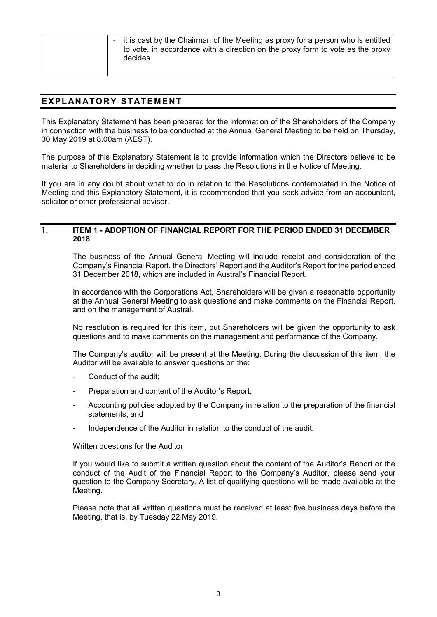| - it is cast by the Chairman of the Meeting as proxy for a person who is entitled<br>to vote, in accordance with a direction on the proxy form to vote as the proxy<br>decides. |
|---------------------------------------------------------------------------------------------------------------------------------------------------------------------------------|
|                                                                                                                                                                                 |

# **EXPLANATORY STATEMENT**

This Explanatory Statement has been prepared for the information of the Shareholders of the Company in connection with the business to be conducted at the Annual General Meeting to be held on Thursday, 30 May 2019 at 8.00am (AEST).

The purpose of this Explanatory Statement is to provide information which the Directors believe to be material to Shareholders in deciding whether to pass the Resolutions in the Notice of Meeting.

If you are in any doubt about what to do in relation to the Resolutions contemplated in the Notice of Meeting and this Explanatory Statement, it is recommended that you seek advice from an accountant, solicitor or other professional advisor.

#### **1. ITEM 1 - ADOPTION OF FINANCIAL REPORT FOR THE PERIOD ENDED 31 DECEMBER 2018**

The business of the Annual General Meeting will include receipt and consideration of the Company's Financial Report, the Directors' Report and the Auditor's Report for the period ended 31 December 2018, which are included in Austral's Financial Report.

In accordance with the Corporations Act, Shareholders will be given a reasonable opportunity at the Annual General Meeting to ask questions and make comments on the Financial Report, and on the management of Austral.

No resolution is required for this item, but Shareholders will be given the opportunity to ask questions and to make comments on the management and performance of the Company.

The Company's auditor will be present at the Meeting. During the discussion of this item, the Auditor will be available to answer questions on the:

- Conduct of the audit:
- Preparation and content of the Auditor's Report;
- Accounting policies adopted by the Company in relation to the preparation of the financial statements; and
- Independence of the Auditor in relation to the conduct of the audit.

#### Written questions for the Auditor

If you would like to submit a written question about the content of the Auditor's Report or the conduct of the Audit of the Financial Report to the Company's Auditor, please send your question to the Company Secretary. A list of qualifying questions will be made available at the Meeting.

Please note that all written questions must be received at least five business days before the Meeting, that is, by Tuesday 22 May 2019.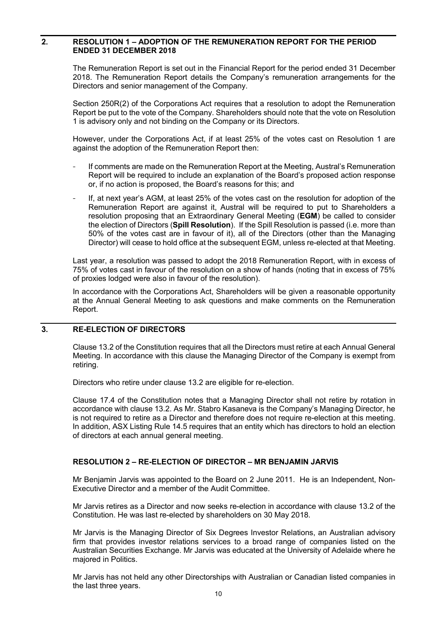#### **2. RESOLUTION 1 – ADOPTION OF THE REMUNERATION REPORT FOR THE PERIOD ENDED 31 DECEMBER 2018**

The Remuneration Report is set out in the Financial Report for the period ended 31 December 2018. The Remuneration Report details the Company's remuneration arrangements for the Directors and senior management of the Company.

Section 250R(2) of the Corporations Act requires that a resolution to adopt the Remuneration Report be put to the vote of the Company. Shareholders should note that the vote on Resolution 1 is advisory only and not binding on the Company or its Directors.

However, under the Corporations Act, if at least 25% of the votes cast on Resolution 1 are against the adoption of the Remuneration Report then:

- If comments are made on the Remuneration Report at the Meeting, Austral's Remuneration Report will be required to include an explanation of the Board's proposed action response or, if no action is proposed, the Board's reasons for this; and
- If, at next year's AGM, at least 25% of the votes cast on the resolution for adoption of the Remuneration Report are against it, Austral will be required to put to Shareholders a resolution proposing that an Extraordinary General Meeting (**EGM**) be called to consider the election of Directors (**Spill Resolution**). If the Spill Resolution is passed (i.e. more than 50% of the votes cast are in favour of it), all of the Directors (other than the Managing Director) will cease to hold office at the subsequent EGM, unless re-elected at that Meeting.

Last year, a resolution was passed to adopt the 2018 Remuneration Report, with in excess of 75% of votes cast in favour of the resolution on a show of hands (noting that in excess of 75% of proxies lodged were also in favour of the resolution).

In accordance with the Corporations Act, Shareholders will be given a reasonable opportunity at the Annual General Meeting to ask questions and make comments on the Remuneration Report.

# **3. RE-ELECTION OF DIRECTORS**

Clause 13.2 of the Constitution requires that all the Directors must retire at each Annual General Meeting. In accordance with this clause the Managing Director of the Company is exempt from retiring.

Directors who retire under clause 13.2 are eligible for re-election.

Clause 17.4 of the Constitution notes that a Managing Director shall not retire by rotation in accordance with clause 13.2. As Mr. Stabro Kasaneva is the Company's Managing Director, he is not required to retire as a Director and therefore does not require re-election at this meeting. In addition, ASX Listing Rule 14.5 requires that an entity which has directors to hold an election of directors at each annual general meeting.

# **RESOLUTION 2 – RE-ELECTION OF DIRECTOR – MR BENJAMIN JARVIS**

Mr Benjamin Jarvis was appointed to the Board on 2 June 2011. He is an Independent, Non-Executive Director and a member of the Audit Committee.

Mr Jarvis retires as a Director and now seeks re-election in accordance with clause 13.2 of the Constitution. He was last re-elected by shareholders on 30 May 2018.

Mr Jarvis is the Managing Director of Six Degrees Investor Relations, an Australian advisory firm that provides investor relations services to a broad range of companies listed on the Australian Securities Exchange. Mr Jarvis was educated at the University of Adelaide where he majored in Politics.

Mr Jarvis has not held any other Directorships with Australian or Canadian listed companies in the last three years.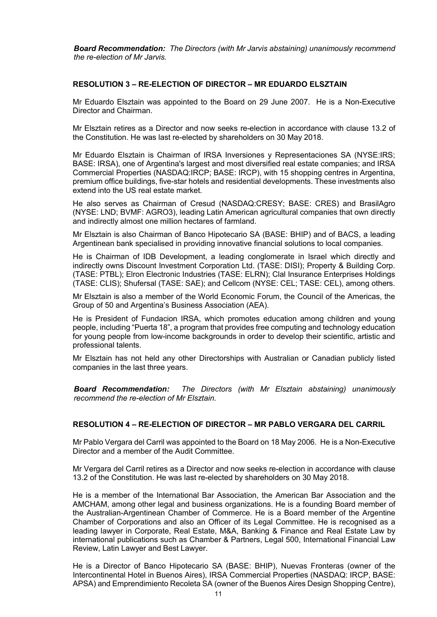*Board Recommendation: The Directors (with Mr Jarvis abstaining) unanimously recommend the re-election of Mr Jarvis.*

#### **RESOLUTION 3 – RE-ELECTION OF DIRECTOR – MR EDUARDO ELSZTAIN**

Mr Eduardo Elsztain was appointed to the Board on 29 June 2007. He is a Non-Executive Director and Chairman.

Mr Elsztain retires as a Director and now seeks re-election in accordance with clause 13.2 of the Constitution. He was last re-elected by shareholders on 30 May 2018.

Mr Eduardo Elsztain is Chairman of IRSA Inversiones y Representaciones SA (NYSE:IRS; BASE: IRSA), one of Argentina's largest and most diversified real estate companies; and IRSA Commercial Properties (NASDAQ:IRCP; BASE: IRCP), with 15 shopping centres in Argentina, premium office buildings, five-star hotels and residential developments. These investments also extend into the US real estate market.

He also serves as Chairman of Cresud (NASDAQ:CRESY; BASE: CRES) and BrasilAgro (NYSE: LND; BVMF: AGRO3), leading Latin American agricultural companies that own directly and indirectly almost one million hectares of farmland.

Mr Elsztain is also Chairman of Banco Hipotecario SA (BASE: BHIP) and of BACS, a leading Argentinean bank specialised in providing innovative financial solutions to local companies.

He is Chairman of IDB Development, a leading conglomerate in Israel which directly and indirectly owns Discount Investment Corporation Ltd. (TASE: DISI); Property & Building Corp. (TASE: PTBL); Elron Electronic Industries (TASE: ELRN); Clal Insurance Enterprises Holdings (TASE: CLIS); Shufersal (TASE: SAE); and Cellcom (NYSE: CEL; TASE: CEL), among others.

Mr Elsztain is also a member of the World Economic Forum, the Council of the Americas, the Group of 50 and Argentina's Business Association (AEA).

He is President of Fundacion IRSA, which promotes education among children and young people, including "Puerta 18", a program that provides free computing and technology education for young people from low-income backgrounds in order to develop their scientific, artistic and professional talents.

Mr Elsztain has not held any other Directorships with Australian or Canadian publicly listed companies in the last three years.

*Board Recommendation: The Directors (with Mr Elsztain abstaining) unanimously recommend the re-election of Mr Elsztain.*

#### **RESOLUTION 4 – RE-ELECTION OF DIRECTOR – MR PABLO VERGARA DEL CARRIL**

Mr Pablo Vergara del Carril was appointed to the Board on 18 May 2006. He is a Non-Executive Director and a member of the Audit Committee.

Mr Vergara del Carril retires as a Director and now seeks re-election in accordance with clause 13.2 of the Constitution. He was last re-elected by shareholders on 30 May 2018.

He is a member of the International Bar Association, the American Bar Association and the AMCHAM, among other legal and business organizations. He is a founding Board member of the Australian-Argentinean Chamber of Commerce. He is a Board member of the Argentine Chamber of Corporations and also an Officer of its Legal Committee. He is recognised as a leading lawyer in Corporate, Real Estate, M&A, Banking & Finance and Real Estate Law by international publications such as Chamber & Partners, Legal 500, International Financial Law Review, Latin Lawyer and Best Lawyer.

He is a Director of Banco Hipotecario SA (BASE: BHIP), Nuevas Fronteras (owner of the Intercontinental Hotel in Buenos Aires), IRSA Commercial Properties (NASDAQ: IRCP, BASE: APSA) and Emprendimiento Recoleta SA (owner of the Buenos Aires Design Shopping Centre),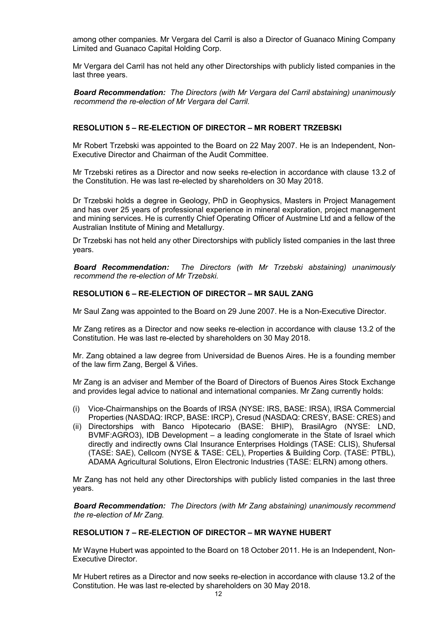among other companies. Mr Vergara del Carril is also a Director of Guanaco Mining Company Limited and Guanaco Capital Holding Corp.

Mr Vergara del Carril has not held any other Directorships with publicly listed companies in the last three years.

*Board Recommendation: The Directors (with Mr Vergara del Carril abstaining) unanimously recommend the re-election of Mr Vergara del Carril.*

#### **RESOLUTION 5 – RE-ELECTION OF DIRECTOR – MR ROBERT TRZEBSKI**

Mr Robert Trzebski was appointed to the Board on 22 May 2007. He is an Independent, Non-Executive Director and Chairman of the Audit Committee.

Mr Trzebski retires as a Director and now seeks re-election in accordance with clause 13.2 of the Constitution. He was last re-elected by shareholders on 30 May 2018.

Dr Trzebski holds a degree in Geology, PhD in Geophysics, Masters in Project Management and has over 25 years of professional experience in mineral exploration, project management and mining services. He is currently Chief Operating Officer of Austmine Ltd and a fellow of the Australian Institute of Mining and Metallurgy.

Dr Trzebski has not held any other Directorships with publicly listed companies in the last three years.

*Board Recommendation: The Directors (with Mr Trzebski abstaining) unanimously recommend the re-election of Mr Trzebski.*

#### **RESOLUTION 6 – RE-ELECTION OF DIRECTOR – MR SAUL ZANG**

Mr Saul Zang was appointed to the Board on 29 June 2007. He is a Non-Executive Director.

Mr Zang retires as a Director and now seeks re-election in accordance with clause 13.2 of the Constitution. He was last re-elected by shareholders on 30 May 2018.

Mr. Zang obtained a law degree from Universidad de Buenos Aires. He is a founding member of the law firm Zang, Bergel & Viñes.

Mr Zang is an adviser and Member of the Board of Directors of Buenos Aires Stock Exchange and provides legal advice to national and international companies. Mr Zang currently holds:

- (i) Vice-Chairmanships on the Boards of IRSA (NYSE: IRS, BASE: IRSA), IRSA Commercial Properties (NASDAQ: IRCP, BASE: IRCP), Cresud (NASDAQ: CRESY, BASE: CRES) and
- (ii) Directorships with Banco Hipotecario (BASE: BHIP), BrasilAgro (NYSE: LND, BVMF:AGRO3), IDB Development – a leading conglomerate in the State of Israel which directly and indirectly owns Clal Insurance Enterprises Holdings (TASE: CLIS), Shufersal (TASE: SAE), Cellcom (NYSE & TASE: CEL), Properties & Building Corp. (TASE: PTBL), ADAMA Agricultural Solutions, Elron Electronic Industries (TASE: ELRN) among others.

Mr Zang has not held any other Directorships with publicly listed companies in the last three years.

*Board Recommendation: The Directors (with Mr Zang abstaining) unanimously recommend the re-election of Mr Zang.*

#### **RESOLUTION 7 – RE-ELECTION OF DIRECTOR – MR WAYNE HUBERT**

Mr Wayne Hubert was appointed to the Board on 18 October 2011. He is an Independent, Non-Executive Director.

Mr Hubert retires as a Director and now seeks re-election in accordance with clause 13.2 of the Constitution. He was last re-elected by shareholders on 30 May 2018.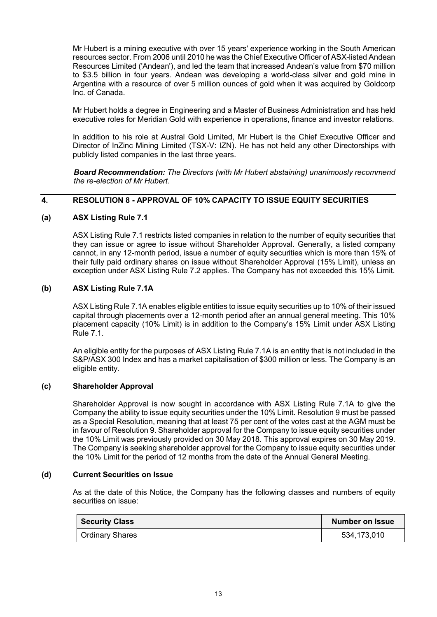Mr Hubert is a mining executive with over 15 years' experience working in the South American resources sector. From 2006 until 2010 he was the Chief Executive Officer of ASX-listed Andean Resources Limited ('Andean'), and led the team that increased Andean's value from \$70 million to \$3.5 billion in four years. Andean was developing a world-class silver and gold mine in Argentina with a resource of over 5 million ounces of gold when it was acquired by Goldcorp Inc. of Canada.

Mr Hubert holds a degree in Engineering and a Master of Business Administration and has held executive roles for Meridian Gold with experience in operations, finance and investor relations.

In addition to his role at Austral Gold Limited, Mr Hubert is the Chief Executive Officer and Director of InZinc Mining Limited (TSX-V: IZN). He has not held any other Directorships with publicly listed companies in the last three years.

*Board Recommendation: The Directors (with Mr Hubert abstaining) unanimously recommend the re-election of Mr Hubert.*

# **4. RESOLUTION 8 - APPROVAL OF 10% CAPACITY TO ISSUE EQUITY SECURITIES**

# **(a) ASX Listing Rule 7.1**

ASX Listing Rule 7.1 restricts listed companies in relation to the number of equity securities that they can issue or agree to issue without Shareholder Approval. Generally, a listed company cannot, in any 12-month period, issue a number of equity securities which is more than 15% of their fully paid ordinary shares on issue without Shareholder Approval (15% Limit), unless an exception under ASX Listing Rule 7.2 applies. The Company has not exceeded this 15% Limit.

# **(b) ASX Listing Rule 7.1A**

ASX Listing Rule 7.1A enables eligible entities to issue equity securities up to 10% of their issued capital through placements over a 12-month period after an annual general meeting. This 10% placement capacity (10% Limit) is in addition to the Company's 15% Limit under ASX Listing Rule 7.1.

An eligible entity for the purposes of ASX Listing Rule 7.1A is an entity that is not included in the S&P/ASX 300 Index and has a market capitalisation of \$300 million or less. The Company is an eligible entity.

#### **(c) Shareholder Approval**

Shareholder Approval is now sought in accordance with ASX Listing Rule 7.1A to give the Company the ability to issue equity securities under the 10% Limit. Resolution 9 must be passed as a Special Resolution, meaning that at least 75 per cent of the votes cast at the AGM must be in favour of Resolution 9. Shareholder approval for the Company to issue equity securities under the 10% Limit was previously provided on 30 May 2018. This approval expires on 30 May 2019. The Company is seeking shareholder approval for the Company to issue equity securities under the 10% Limit for the period of 12 months from the date of the Annual General Meeting.

#### **(d) Current Securities on Issue**

As at the date of this Notice, the Company has the following classes and numbers of equity securities on issue:

| <b>Security Class</b>  | <b>Number on Issue</b> |
|------------------------|------------------------|
| <b>Ordinary Shares</b> | 534,173,010            |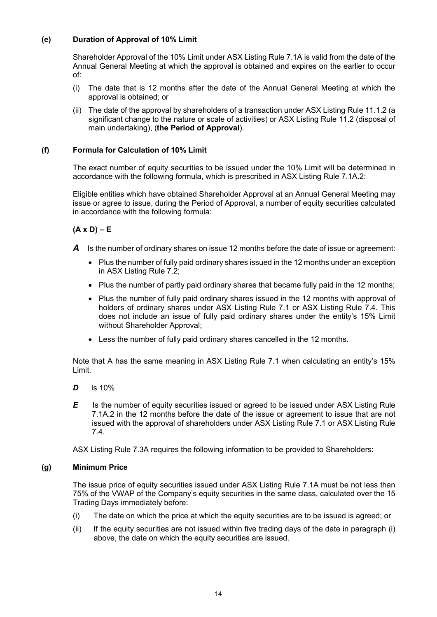# **(e) Duration of Approval of 10% Limit**

Shareholder Approval of the 10% Limit under ASX Listing Rule 7.1A is valid from the date of the Annual General Meeting at which the approval is obtained and expires on the earlier to occur of:

- (i) The date that is 12 months after the date of the Annual General Meeting at which the approval is obtained; or
- (ii) The date of the approval by shareholders of a transaction under ASX Listing Rule 11.1.2 (a significant change to the nature or scale of activities) or ASX Listing Rule 11.2 (disposal of main undertaking), (**the Period of Approval**).

# **(f) Formula for Calculation of 10% Limit**

The exact number of equity securities to be issued under the 10% Limit will be determined in accordance with the following formula, which is prescribed in ASX Listing Rule 7.1A.2:

Eligible entities which have obtained Shareholder Approval at an Annual General Meeting may issue or agree to issue, during the Period of Approval, a number of equity securities calculated in accordance with the following formula:

# **(A x D) – E**

- *A* Is the number of ordinary shares on issue 12 months before the date of issue or agreement:
	- Plus the number of fully paid ordinary shares issued in the 12 months under an exception in ASX Listing Rule 7.2;
	- Plus the number of partly paid ordinary shares that became fully paid in the 12 months;
	- Plus the number of fully paid ordinary shares issued in the 12 months with approval of holders of ordinary shares under ASX Listing Rule 7.1 or ASX Listing Rule 7.4. This does not include an issue of fully paid ordinary shares under the entity's 15% Limit without Shareholder Approval;
	- Less the number of fully paid ordinary shares cancelled in the 12 months.

Note that A has the same meaning in ASX Listing Rule 7.1 when calculating an entity's 15% Limit.

- *D* Is 10%
- **E** Is the number of equity securities issued or agreed to be issued under ASX Listing Rule 7.1A.2 in the 12 months before the date of the issue or agreement to issue that are not issued with the approval of shareholders under ASX Listing Rule 7.1 or ASX Listing Rule 7.4.

ASX Listing Rule 7.3A requires the following information to be provided to Shareholders:

# **(g) Minimum Price**

The issue price of equity securities issued under ASX Listing Rule 7.1A must be not less than 75% of the VWAP of the Company's equity securities in the same class, calculated over the 15 Trading Days immediately before:

- (i) The date on which the price at which the equity securities are to be issued is agreed; or
- (ii) If the equity securities are not issued within five trading days of the date in paragraph (i) above, the date on which the equity securities are issued.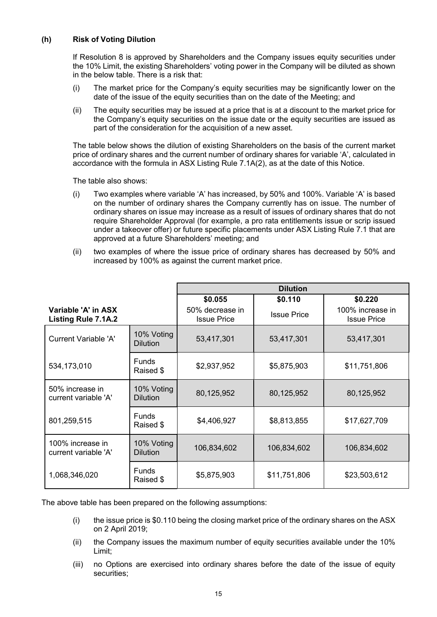# **(h) Risk of Voting Dilution**

If Resolution 8 is approved by Shareholders and the Company issues equity securities under the 10% Limit, the existing Shareholders' voting power in the Company will be diluted as shown in the below table. There is a risk that:

- (i) The market price for the Company's equity securities may be significantly lower on the date of the issue of the equity securities than on the date of the Meeting; and
- (ii) The equity securities may be issued at a price that is at a discount to the market price for the Company's equity securities on the issue date or the equity securities are issued as part of the consideration for the acquisition of a new asset.

The table below shows the dilution of existing Shareholders on the basis of the current market price of ordinary shares and the current number of ordinary shares for variable 'A', calculated in accordance with the formula in ASX Listing Rule 7.1A(2), as at the date of this Notice.

The table also shows:

- (i) Two examples where variable 'A' has increased, by 50% and 100%. Variable 'A' is based on the number of ordinary shares the Company currently has on issue. The number of ordinary shares on issue may increase as a result of issues of ordinary shares that do not require Shareholder Approval (for example, a pro rata entitlements issue or scrip issued under a takeover offer) or future specific placements under ASX Listing Rule 7.1 that are approved at a future Shareholders' meeting; and
- (ii) two examples of where the issue price of ordinary shares has decreased by 50% and increased by 100% as against the current market price.

|                                            |                               | <b>Dilution</b>                       |                    |                                        |
|--------------------------------------------|-------------------------------|---------------------------------------|--------------------|----------------------------------------|
|                                            |                               | \$0.055                               | \$0.110            | \$0.220                                |
| Variable 'A' in ASX<br>Listing Rule 7.1A.2 |                               | 50% decrease in<br><b>Issue Price</b> | <b>Issue Price</b> | 100% increase in<br><b>Issue Price</b> |
| Current Variable 'A'                       | 10% Voting<br><b>Dilution</b> | 53,417,301                            | 53,417,301         | 53,417,301                             |
| 534,173,010                                | <b>Funds</b><br>Raised \$     | \$2,937,952                           | \$5,875,903        | \$11,751,806                           |
| 50% increase in<br>current variable 'A'    | 10% Voting<br><b>Dilution</b> | 80,125,952                            | 80,125,952         | 80,125,952                             |
| 801,259,515                                | <b>Funds</b><br>Raised \$     | \$4,406,927                           | \$8,813,855        | \$17,627,709                           |
| 100% increase in<br>current variable 'A'   | 10% Voting<br><b>Dilution</b> | 106,834,602                           | 106,834,602        | 106,834,602                            |
| 1,068,346,020                              | <b>Funds</b><br>Raised \$     | \$5,875,903                           | \$11,751,806       | \$23,503,612                           |

The above table has been prepared on the following assumptions:

- (i) the issue price is \$0.110 being the closing market price of the ordinary shares on the ASX on 2 April 2019;
- (ii) the Company issues the maximum number of equity securities available under the 10% Limit;
- (iii) no Options are exercised into ordinary shares before the date of the issue of equity securities;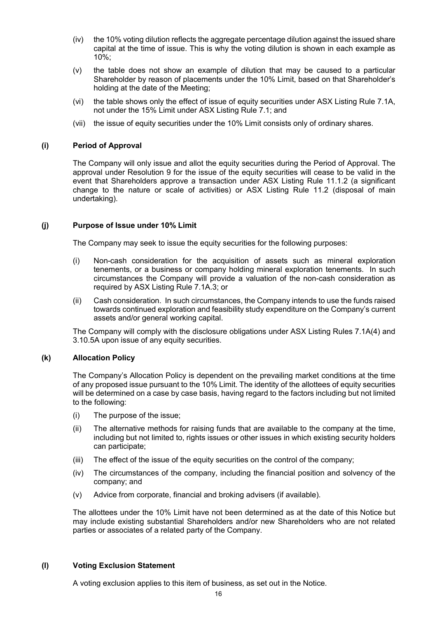- (iv) the 10% voting dilution reflects the aggregate percentage dilution against the issued share capital at the time of issue. This is why the voting dilution is shown in each example as 10%;
- (v) the table does not show an example of dilution that may be caused to a particular Shareholder by reason of placements under the 10% Limit, based on that Shareholder's holding at the date of the Meeting;
- (vi) the table shows only the effect of issue of equity securities under ASX Listing Rule 7.1A, not under the 15% Limit under ASX Listing Rule 7.1; and
- (vii) the issue of equity securities under the 10% Limit consists only of ordinary shares.

# **(i) Period of Approval**

The Company will only issue and allot the equity securities during the Period of Approval. The approval under Resolution 9 for the issue of the equity securities will cease to be valid in the event that Shareholders approve a transaction under ASX Listing Rule 11.1.2 (a significant change to the nature or scale of activities) or ASX Listing Rule 11.2 (disposal of main undertaking).

# **(j) Purpose of Issue under 10% Limit**

The Company may seek to issue the equity securities for the following purposes:

- (i) Non-cash consideration for the acquisition of assets such as mineral exploration tenements, or a business or company holding mineral exploration tenements. In such circumstances the Company will provide a valuation of the non-cash consideration as required by ASX Listing Rule 7.1A.3; or
- (ii) Cash consideration. In such circumstances, the Company intends to use the funds raised towards continued exploration and feasibility study expenditure on the Company's current assets and/or general working capital.

The Company will comply with the disclosure obligations under ASX Listing Rules 7.1A(4) and 3.10.5A upon issue of any equity securities.

#### **(k) Allocation Policy**

The Company's Allocation Policy is dependent on the prevailing market conditions at the time of any proposed issue pursuant to the 10% Limit. The identity of the allottees of equity securities will be determined on a case by case basis, having regard to the factors including but not limited to the following:

- (i) The purpose of the issue;
- (ii) The alternative methods for raising funds that are available to the company at the time, including but not limited to, rights issues or other issues in which existing security holders can participate;
- (iii) The effect of the issue of the equity securities on the control of the company;
- (iv) The circumstances of the company, including the financial position and solvency of the company; and
- (v) Advice from corporate, financial and broking advisers (if available).

The allottees under the 10% Limit have not been determined as at the date of this Notice but may include existing substantial Shareholders and/or new Shareholders who are not related parties or associates of a related party of the Company.

#### **(l) Voting Exclusion Statement**

A voting exclusion applies to this item of business, as set out in the Notice.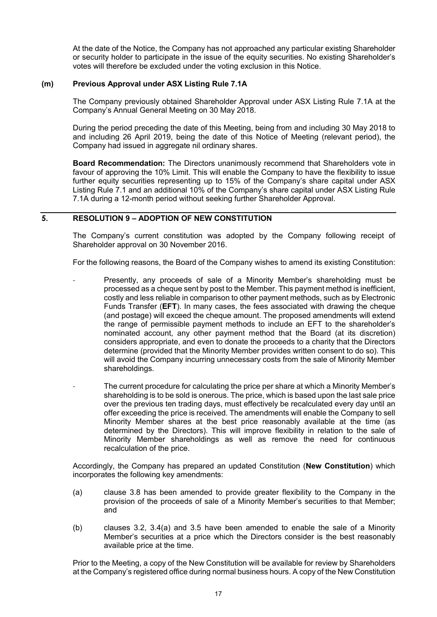At the date of the Notice, the Company has not approached any particular existing Shareholder or security holder to participate in the issue of the equity securities. No existing Shareholder's votes will therefore be excluded under the voting exclusion in this Notice.

#### **(m) Previous Approval under ASX Listing Rule 7.1A**

The Company previously obtained Shareholder Approval under ASX Listing Rule 7.1A at the Company's Annual General Meeting on 30 May 2018.

During the period preceding the date of this Meeting, being from and including 30 May 2018 to and including 26 April 2019, being the date of this Notice of Meeting (relevant period), the Company had issued in aggregate nil ordinary shares.

**Board Recommendation:** The Directors unanimously recommend that Shareholders vote in favour of approving the 10% Limit. This will enable the Company to have the flexibility to issue further equity securities representing up to 15% of the Company's share capital under ASX Listing Rule 7.1 and an additional 10% of the Company's share capital under ASX Listing Rule 7.1A during a 12-month period without seeking further Shareholder Approval.

# **5. RESOLUTION 9 – ADOPTION OF NEW CONSTITUTION**

The Company's current constitution was adopted by the Company following receipt of Shareholder approval on 30 November 2016.

For the following reasons, the Board of the Company wishes to amend its existing Constitution:

- Presently, any proceeds of sale of a Minority Member's shareholding must be processed as a cheque sent by post to the Member. This payment method is inefficient, costly and less reliable in comparison to other payment methods, such as by Electronic Funds Transfer (**EFT**). In many cases, the fees associated with drawing the cheque (and postage) will exceed the cheque amount. The proposed amendments will extend the range of permissible payment methods to include an EFT to the shareholder's nominated account, any other payment method that the Board (at its discretion) considers appropriate, and even to donate the proceeds to a charity that the Directors determine (provided that the Minority Member provides written consent to do so). This will avoid the Company incurring unnecessary costs from the sale of Minority Member shareholdings.
- The current procedure for calculating the price per share at which a Minority Member's shareholding is to be sold is onerous. The price, which is based upon the last sale price over the previous ten trading days, must effectively be recalculated every day until an offer exceeding the price is received. The amendments will enable the Company to sell Minority Member shares at the best price reasonably available at the time (as determined by the Directors). This will improve flexibility in relation to the sale of Minority Member shareholdings as well as remove the need for continuous recalculation of the price.

Accordingly, the Company has prepared an updated Constitution (**New Constitution**) which incorporates the following key amendments:

- (a) clause 3.8 has been amended to provide greater flexibility to the Company in the provision of the proceeds of sale of a Minority Member's securities to that Member; and
- (b) clauses 3.2, 3.4(a) and 3.5 have been amended to enable the sale of a Minority Member's securities at a price which the Directors consider is the best reasonably available price at the time.

Prior to the Meeting, a copy of the New Constitution will be available for review by Shareholders at the Company's registered office during normal business hours. A copy of the New Constitution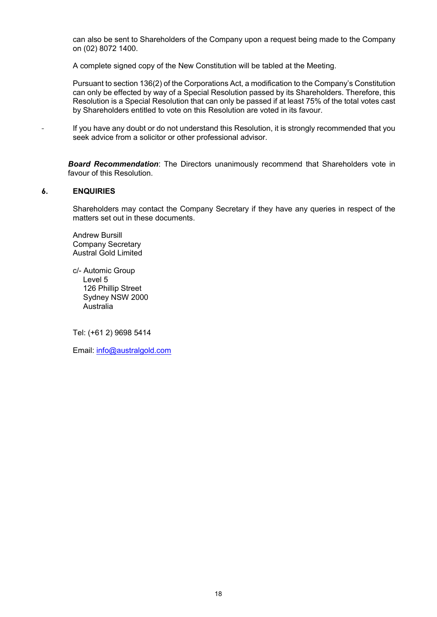can also be sent to Shareholders of the Company upon a request being made to the Company on (02) 8072 1400.

A complete signed copy of the New Constitution will be tabled at the Meeting.

Pursuant to section 136(2) of the Corporations Act, a modification to the Company's Constitution can only be effected by way of a Special Resolution passed by its Shareholders. Therefore, this Resolution is a Special Resolution that can only be passed if at least 75% of the total votes cast by Shareholders entitled to vote on this Resolution are voted in its favour.

If you have any doubt or do not understand this Resolution, it is strongly recommended that you seek advice from a solicitor or other professional advisor.

*Board Recommendation*: The Directors unanimously recommend that Shareholders vote in favour of this Resolution.

#### **6. ENQUIRIES**

Shareholders may contact the Company Secretary if they have any queries in respect of the matters set out in these documents.

Andrew Bursill Company Secretary Austral Gold Limited

c/- Automic Group Level 5 126 Phillip Street Sydney NSW 2000 Australia

Tel: (+61 2) 9698 5414

Email: [info@australgold.com](mailto:info@australgold.com)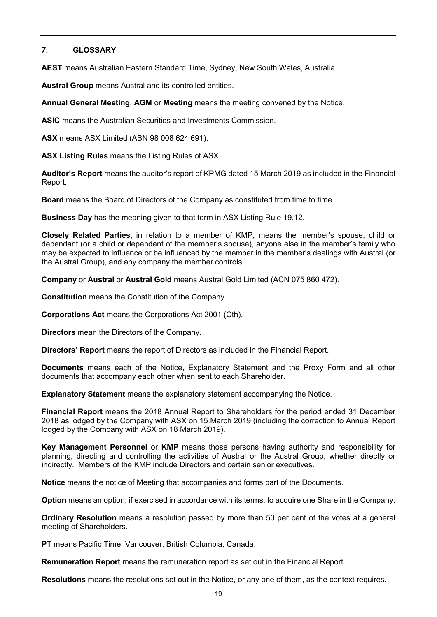# **7. GLOSSARY**

**AEST** means Australian Eastern Standard Time, Sydney, New South Wales, Australia.

**Austral Group** means Austral and its controlled entities.

**Annual General Meeting**, **AGM** or **Meeting** means the meeting convened by the Notice.

**ASIC** means the Australian Securities and Investments Commission.

**ASX** means ASX Limited (ABN 98 008 624 691).

**ASX Listing Rules** means the Listing Rules of ASX.

**Auditor's Report** means the auditor's report of KPMG dated 15 March 2019 as included in the Financial Report.

**Board** means the Board of Directors of the Company as constituted from time to time.

**Business Day** has the meaning given to that term in ASX Listing Rule 19.12.

**Closely Related Parties**, in relation to a member of KMP, means the member's spouse, child or dependant (or a child or dependant of the member's spouse), anyone else in the member's family who may be expected to influence or be influenced by the member in the member's dealings with Austral (or the Austral Group), and any company the member controls.

**Company** or **Austral** or **Austral Gold** means Austral Gold Limited (ACN 075 860 472).

**Constitution** means the Constitution of the Company.

**Corporations Act** means the Corporations Act 2001 (Cth).

**Directors** mean the Directors of the Company.

**Directors' Report** means the report of Directors as included in the Financial Report.

**Documents** means each of the Notice, Explanatory Statement and the Proxy Form and all other documents that accompany each other when sent to each Shareholder.

**Explanatory Statement** means the explanatory statement accompanying the Notice.

**Financial Report** means the 2018 Annual Report to Shareholders for the period ended 31 December 2018 as lodged by the Company with ASX on 15 March 2019 (including the correction to Annual Report lodged by the Company with ASX on 18 March 2019).

**Key Management Personnel** or **KMP** means those persons having authority and responsibility for planning, directing and controlling the activities of Austral or the Austral Group, whether directly or indirectly. Members of the KMP include Directors and certain senior executives.

**Notice** means the notice of Meeting that accompanies and forms part of the Documents.

**Option** means an option, if exercised in accordance with its terms, to acquire one Share in the Company.

**Ordinary Resolution** means a resolution passed by more than 50 per cent of the votes at a general meeting of Shareholders.

**PT** means Pacific Time, Vancouver, British Columbia, Canada.

**Remuneration Report** means the remuneration report as set out in the Financial Report.

**Resolutions** means the resolutions set out in the Notice, or any one of them, as the context requires.